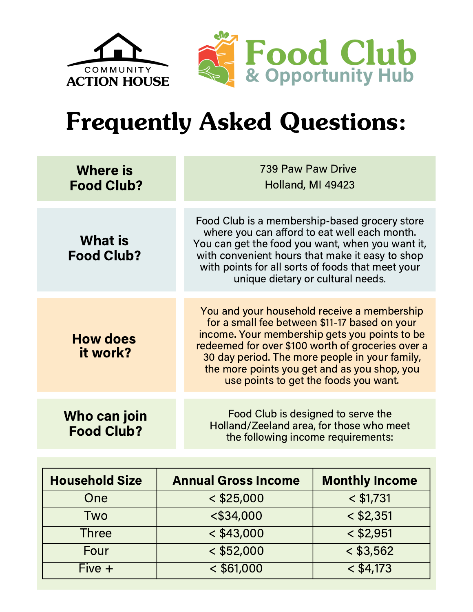

## Frequently Asked Questions:

| <b>Where is</b><br><b>Food Club?</b> | 739 Paw Paw Drive<br>Holland, MI 49423                                                                                                                                                                                                                                                                                                        |
|--------------------------------------|-----------------------------------------------------------------------------------------------------------------------------------------------------------------------------------------------------------------------------------------------------------------------------------------------------------------------------------------------|
| <b>What is</b><br><b>Food Club?</b>  | Food Club is a membership-based grocery store<br>where you can afford to eat well each month.<br>You can get the food you want, when you want it,<br>with convenient hours that make it easy to shop<br>with points for all sorts of foods that meet your<br>unique dietary or cultural needs.                                                |
| <b>How does</b><br>it work?          | You and your household receive a membership<br>for a small fee between \$11-17 based on your<br>income. Your membership gets you points to be<br>redeemed for over \$100 worth of groceries over a<br>30 day period. The more people in your family,<br>the more points you get and as you shop, you<br>use points to get the foods you want. |
| Who can join<br><b>Food Club?</b>    | Food Club is designed to serve the<br>Holland/Zeeland area, for those who meet<br>the following income requirements:                                                                                                                                                                                                                          |

| <b>Household Size</b> | <b>Annual Gross Income</b> | <b>Monthly Income</b> |
|-----------------------|----------------------------|-----------------------|
| One                   | $<$ \$25,000               | $<$ \$1,731           |
| Two                   | $<$ \$34,000               | $<$ \$2,351           |
| Three                 | $<$ \$43,000               | $<$ \$2,951           |
| Four                  | $<$ \$52,000               | $<$ \$3,562           |
| $Five +$              | $<$ \$61,000               | $<$ \$4,173           |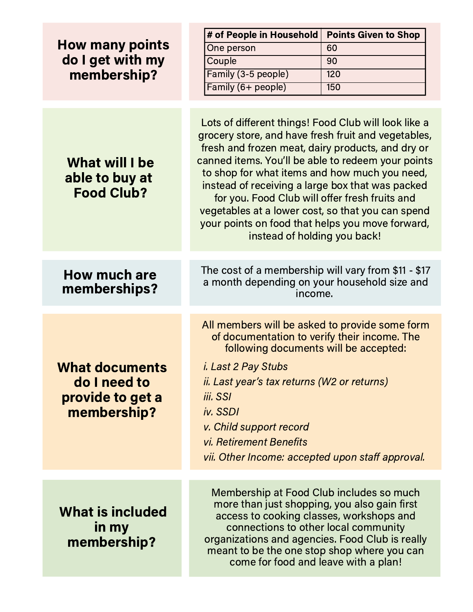| <b>How many points</b><br>do I get with my                               | # of People in Household                                                                                                                                                                                                                                                                                                                                                                                                                                                                                               | <b>Points Given to Shop</b> |
|--------------------------------------------------------------------------|------------------------------------------------------------------------------------------------------------------------------------------------------------------------------------------------------------------------------------------------------------------------------------------------------------------------------------------------------------------------------------------------------------------------------------------------------------------------------------------------------------------------|-----------------------------|
|                                                                          | One person                                                                                                                                                                                                                                                                                                                                                                                                                                                                                                             | 60                          |
|                                                                          | Couple                                                                                                                                                                                                                                                                                                                                                                                                                                                                                                                 | 90                          |
| membership?                                                              | Family (3-5 people)                                                                                                                                                                                                                                                                                                                                                                                                                                                                                                    | 120                         |
|                                                                          | Family (6+ people)                                                                                                                                                                                                                                                                                                                                                                                                                                                                                                     | 150                         |
|                                                                          |                                                                                                                                                                                                                                                                                                                                                                                                                                                                                                                        |                             |
| What will I be<br>able to buy at<br><b>Food Club?</b>                    | Lots of different things! Food Club will look like a<br>grocery store, and have fresh fruit and vegetables,<br>fresh and frozen meat, dairy products, and dry or<br>canned items. You'll be able to redeem your points<br>to shop for what items and how much you need,<br>instead of receiving a large box that was packed<br>for you. Food Club will offer fresh fruits and<br>vegetables at a lower cost, so that you can spend<br>your points on food that helps you move forward,<br>instead of holding you back! |                             |
| <b>How much are</b><br>memberships?                                      | The cost of a membership will vary from \$11 - \$17<br>a month depending on your household size and<br>income.                                                                                                                                                                                                                                                                                                                                                                                                         |                             |
|                                                                          |                                                                                                                                                                                                                                                                                                                                                                                                                                                                                                                        |                             |
| <b>What documents</b><br>do I need to<br>provide to get a<br>membership? | All members will be asked to provide some form<br>of documentation to verify their income. The<br>following documents will be accepted:<br><i>i. Last 2 Pay Stubs</i><br><i>ii. Last year's tax returns (W2 or returns)</i><br>iii. SSI<br>iv. SSDI<br>v. Child support record<br>vi. Retirement Benefits<br>vii. Other Income: accepted upon staff approval.                                                                                                                                                          |                             |
|                                                                          |                                                                                                                                                                                                                                                                                                                                                                                                                                                                                                                        |                             |
| <b>What is included</b><br>in my<br>membership?                          | Membership at Food Club includes so much<br>more than just shopping, you also gain first<br>access to cooking classes, workshops and<br>connections to other local community<br>organizations and agencies. Food Club is really<br>meant to be the one stop shop where you can<br>come for food and leave with a plan!                                                                                                                                                                                                 |                             |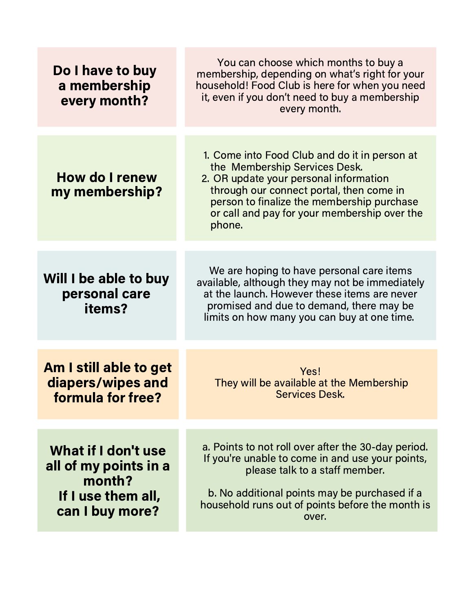| Do I have to buy<br>a membership<br>every month?                                                | You can choose which months to buy a<br>membership, depending on what's right for your<br>household! Food Club is here for when you need<br>it, even if you don't need to buy a membership<br>every month.                                                                   |
|-------------------------------------------------------------------------------------------------|------------------------------------------------------------------------------------------------------------------------------------------------------------------------------------------------------------------------------------------------------------------------------|
| <b>How do I renew</b><br>my membership?                                                         | 1. Come into Food Club and do it in person at<br>the Membership Services Desk.<br>2. OR update your personal information<br>through our connect portal, then come in<br>person to finalize the membership purchase<br>or call and pay for your membership over the<br>phone. |
| Will I be able to buy<br>personal care<br>items?                                                | We are hoping to have personal care items<br>available, although they may not be immediately<br>at the launch. However these items are never<br>promised and due to demand, there may be<br>limits on how many you can buy at one time.                                      |
| Am I still able to get<br>diapers/wipes and<br>formula for free?                                | Yes!<br>They will be available at the Membership<br>Services Desk.                                                                                                                                                                                                           |
| What if I don't use<br>all of my points in a<br>month?<br>If I use them all,<br>can I buy more? | a. Points to not roll over after the 30-day period.<br>If you're unable to come in and use your points,<br>please talk to a staff member.<br>b. No additional points may be purchased if a<br>household runs out of points before the month is<br>over.                      |